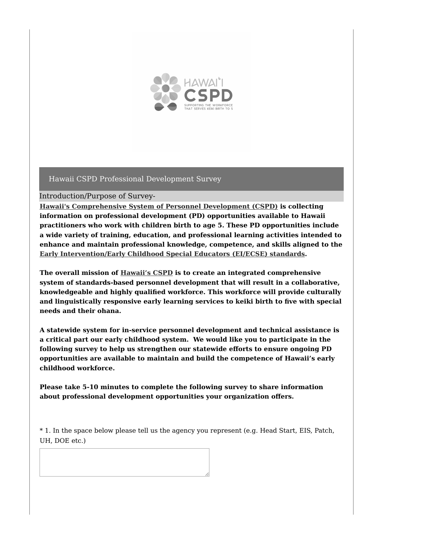

Introduction/Purpose of Survey-

**Hawaii's [Comprehensive](https://www.hawaiicspd.org/) System of Personnel Development (CSPD) is collecting information on professional development (PD) opportunities available to Hawaii practitioners who work with children birth to age 5. These PD opportunities include a wide variety of training, education, and professional learning activities intended to enhance and maintain professional knowledge, competence, and skills aligned to the Early [Intervention/Early](https://exceptionalchildren.org/standards/initial-practice-based-standards-early-interventionists-early-childhood-special-educators) Childhood Special Educators (EI/ECSE) standards.**

**The overall mission of [Hawaii's](https://www.hawaiicspd.org/) CSPD is to create an integrated comprehensive system of standards-based personnel development that will result in a collaborative, knowledgeable and highly qualified workforce. This workforce will provide culturally and linguistically responsive early learning services to keiki birth to five with special needs and their ohana.**

**A statewide system for in-service personnel development and technical assistance is a critical part our early childhood system. We would like you to participate in the following survey to help us strengthen our statewide efforts to ensure ongoing PD opportunities are available to maintain and build the competence of Hawaii's early childhood workforce.**

**Please take 5-10 minutes to complete the following survey to share information about professional development opportunities your organization offers.**

\* 1. In the space below please tell us the agency you represent (e.g. Head Start, EIS, Patch, UH, DOE etc.)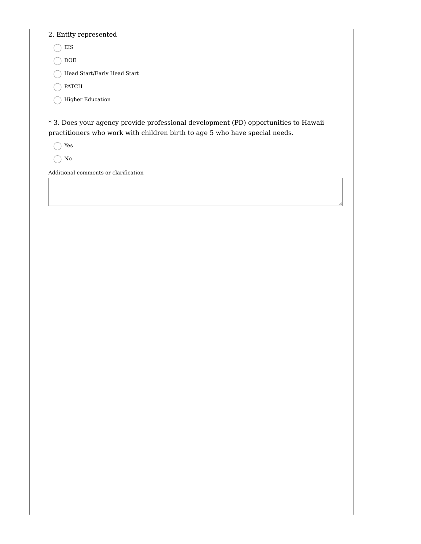#### 2. Entity represented

 $\bigcap$  EIS

 $\bigcirc$  DOE

 $\bigcap$  Head Start/Early Head Start

 $\bigcap$  PATCH

 $\bigcap$  Higher Education

\* 3. Does your agency provide professional development (PD) opportunities to Hawaii practitioners who work with children birth to age 5 who have special needs.

Yes

 $\bigcirc$  No

Additional comments or clarification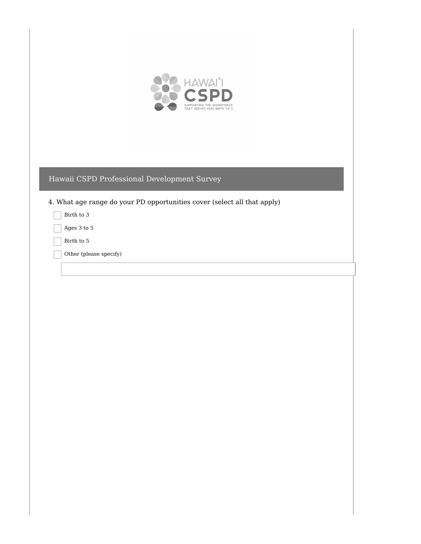

- 4. What age range do your PD opportunities cover (select all that apply)
	- Birth to 3
	- Ages 3 to 5
	- Birth to 5
	- Other (please specify)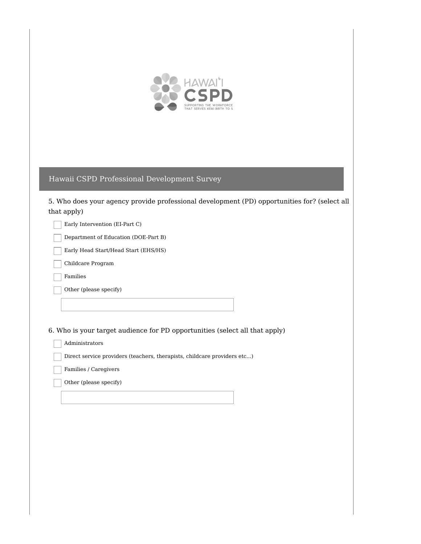

5. Who does your agency provide professional development (PD) opportunities for? (select all that apply)

Early Intervention (EI-Part C)

Department of Education (DOE-Part B)

Early Head Start/Head Start (EHS/HS)

Childcare Program

Families

Other (please specify)

6. Who is your target audience for PD opportunities (select all that apply)

Administrators

Direct service providers (teachers, therapists, childcare providers etc...)

Families / Caregivers

Other (please specify)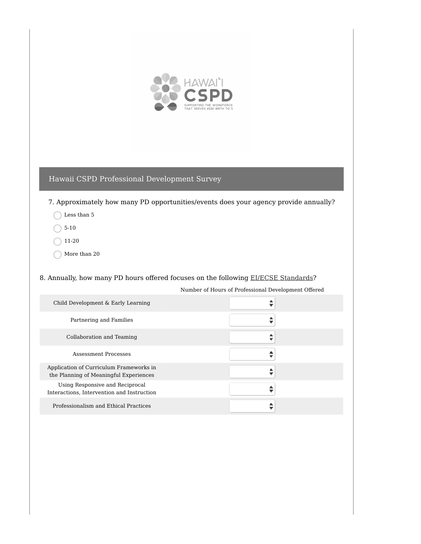

7. Approximately how many PD opportunities/events does your agency provide annually?

- C Less than 5
- $\bigcirc$  5-10
- $\big)$  11-20
- More than 20 €

#### 8. Annually, how many PD hours offered focuses on the following EI/ECSE [Standards](https://exceptionalchildren.org/standards/initial-practice-based-standards-early-interventionists-early-childhood-special-educators)?

Number of Hours of Professional Development Offered  $\overline{\phantom{a}}$ 

| Partnering and Families                                                           |  |
|-----------------------------------------------------------------------------------|--|
| Collaboration and Teaming                                                         |  |
| <b>Assessment Processes</b>                                                       |  |
| Application of Curriculum Frameworks in<br>the Planning of Meaningful Experiences |  |
| Using Responsive and Reciprocal<br>Interactions, Intervention and Instruction     |  |
| Professionalism and Ethical Practices                                             |  |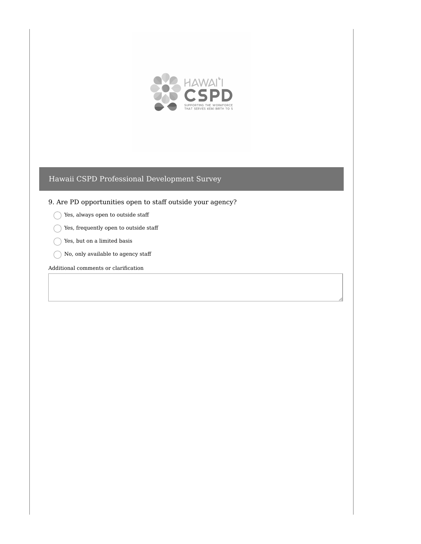

#### 9. Are PD opportunities open to staff outside your agency?

- $\bigcirc$  Yes, always open to outside staff
- $\bigcap$  Yes, frequently open to outside staff
- $\bigcap$  Yes, but on a limited basis
- $\bigcap$  No, only available to agency staff

#### Additional comments or clarification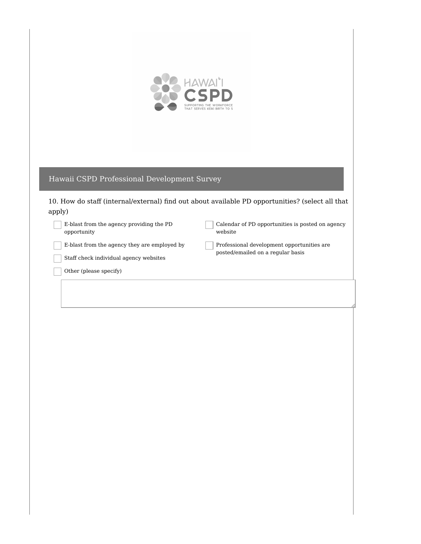

10. How do staff (internal/external) find out about available PD opportunities? (select all that apply)

E-blast from the agency providing the PD opportunity

Calendar of PD opportunities is posted on agency website

E-blast from the agency they are employed by

Professional development opportunities are posted/emailed on a regular basis

Staff check individual agency websites

Other (please specify)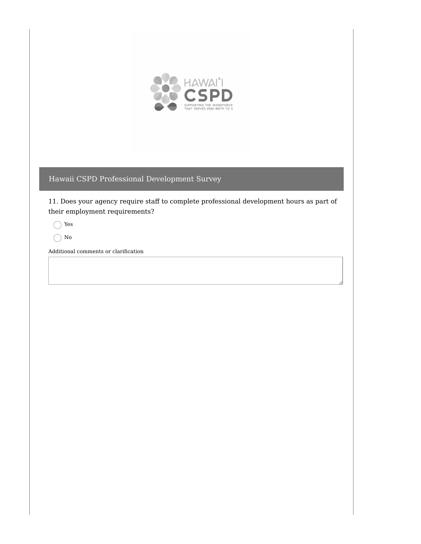

11. Does your agency require staff to complete professional development hours as part of their employment requirements?

Yes

 $\bigcap$  No

Additional comments or clarification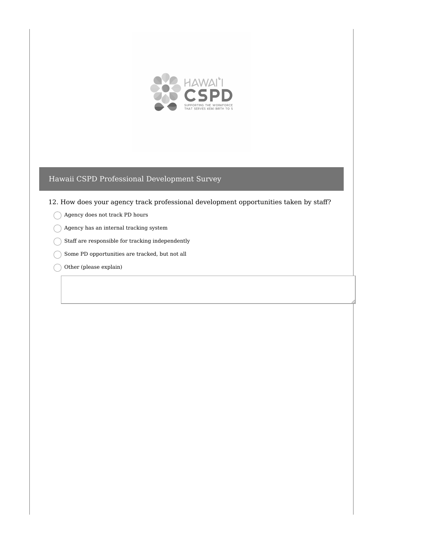

12. How does your agency track professional development opportunities taken by staff?

- Agency does not track PD hours
- $\bigcap$  Agency has an internal tracking system
- $\bigcap$  Staff are responsible for tracking independently
- $\bigcirc$  Some PD opportunities are tracked, but not all
- Other (please explain)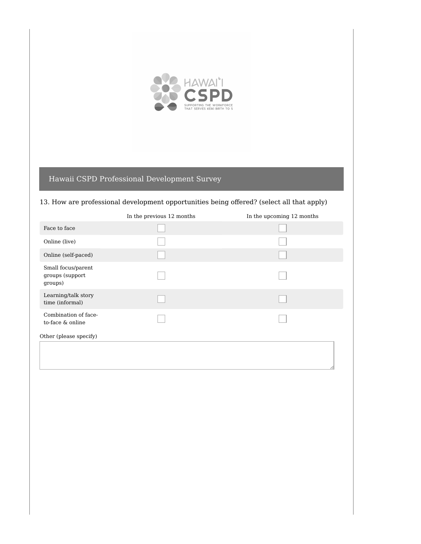

## 13. How are professional development opportunities being offered? (select all that apply)

|                                                  | In the previous 12 months | In the upcoming 12 months |
|--------------------------------------------------|---------------------------|---------------------------|
| Face to face                                     |                           |                           |
| Online (live)                                    |                           |                           |
| Online (self-paced)                              |                           |                           |
| Small focus/parent<br>groups (support<br>groups) |                           |                           |
| Learning/talk story<br>time (informal)           |                           |                           |
| Combination of face-<br>to-face & online         |                           |                           |
| Other (please specify)                           |                           |                           |
|                                                  |                           |                           |